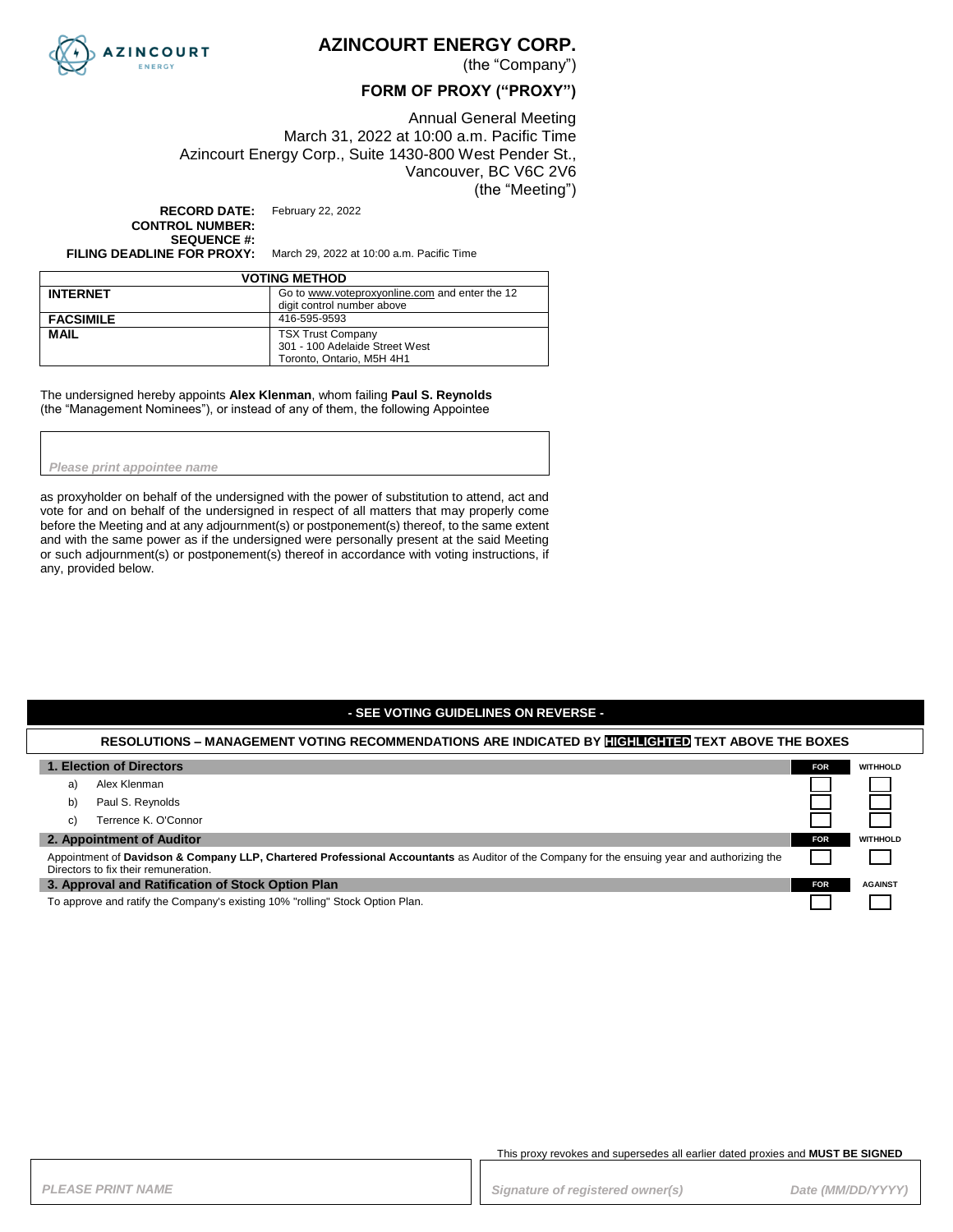

### **AZINCOURT ENERGY CORP.**

(the "Company")

### **FORM OF PROXY ("PROXY")**

Annual General Meeting March 31, 2022 at 10:00 a.m. Pacific Time Azincourt Energy Corp., Suite 1430-800 West Pender St., Vancouver, BC V6C 2V6 (the "Meeting")

**RECORD DATE:** February 22, 2022 **CONTROL NUMBER: SEQUENCE #:**

**FILING DEADLINE FOR PROXY:** March 29, 2022 at 10:00 a.m. Pacific Time

| <b>VOTING METHOD</b> |                                                |  |
|----------------------|------------------------------------------------|--|
| <b>INTERNET</b>      | Go to www.voteproxyonline.com and enter the 12 |  |
|                      | digit control number above                     |  |
| <b>FACSIMILE</b>     | 416-595-9593                                   |  |
| <b>MAIL</b>          | <b>TSX Trust Company</b>                       |  |
|                      | 301 - 100 Adelaide Street West                 |  |
|                      | Toronto, Ontario, M5H 4H1                      |  |

The undersigned hereby appoints **Alex Klenman**, whom failing **Paul S. Reynolds**  (the "Management Nominees"), or instead of any of them, the following Appointee

*Please print appointee name*

as proxyholder on behalf of the undersigned with the power of substitution to attend, act and vote for and on behalf of the undersigned in respect of all matters that may properly come before the Meeting and at any adjournment(s) or postponement(s) thereof, to the same extent and with the same power as if the undersigned were personally present at the said Meeting or such adjournment(s) or postponement(s) thereof in accordance with voting instructions, if any, provided below.

### **- SEE VOTING GUIDELINES ON REVERSE -**

#### **RESOLUTIONS – MANAGEMENT VOTING RECOMMENDATIONS ARE INDICATED BY HIGHLIGHTED TEXT ABOVE THE BOXES**

| 1. Election of Directors                                                                                                                                                             | FOR.       | <b>WITHHOLD</b> |
|--------------------------------------------------------------------------------------------------------------------------------------------------------------------------------------|------------|-----------------|
| Alex Klenman<br>a)                                                                                                                                                                   |            |                 |
| Paul S. Reynolds<br>b)                                                                                                                                                               |            |                 |
| Terrence K. O'Connor<br>C)                                                                                                                                                           |            |                 |
| 2. Appointment of Auditor                                                                                                                                                            | <b>FOR</b> | <b>WITHHOLD</b> |
| Appointment of Davidson & Company LLP, Chartered Professional Accountants as Auditor of the Company for the ensuing year and authorizing the<br>Directors to fix their remuneration. |            |                 |
| 3. Approval and Ratification of Stock Option Plan                                                                                                                                    |            | <b>AGAINST</b>  |
| To approve and ratify the Company's existing 10% "rolling" Stock Option Plan.                                                                                                        |            |                 |

This proxy revokes and supersedes all earlier dated proxies and **MUST BE SIGNED**

PLEASE PRINT NAME *PLEASE PRINT NAME PLEASE PRINT NAME Signature of registered owner(s)**Date (MM/DD/YYYY)*